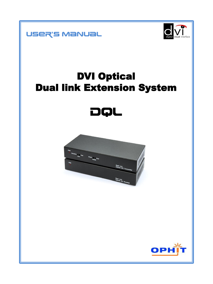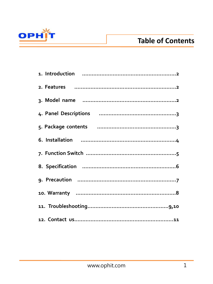

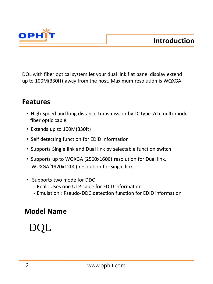



DQL with fiber optical system let your dual link flat panel display extend up to 100M(330ft) away from the host. Maximum resolution is WQXGA.

### **Features**

- High Speed and long distance transmission by LC type 7ch multi-mode fiber optic cable
- Extends up to 100M(330ft)
- Self detecting function for EDID information
- Supports Single link and Dual link by selectable function switch
- Supports up to WQXGA (2560x1600) resolution for Dual link, WUXGA(1920x1200) resolution for Single link
- Supports two mode for DDC
	- Real : Uses one UTP cable for EDID information
	- Emulation : Pseudo-DDC detection function for EDID information

# **Model Name**

# DQL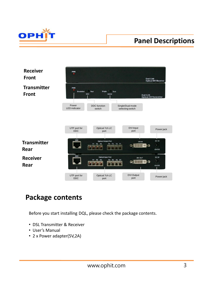

# **Panel Descriptions**



### **Package contents**

Before you start installing DQL, please check the package contents.

- DSL Transmitter & Receiver
- User's Manual
- 2 x Power adapter(5V,2A)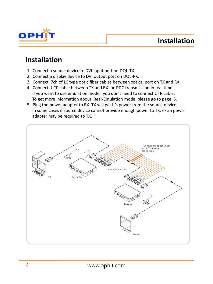**Installation**



### **Installation**

- 1. Connect a source device to DVI input port on DQL-TX.
- 2. Connect a display device to DVI output port on DQL-RX.
- 3. Connect 7ch of LC type optic fiber cables between optical port on TX and RX.
- 4. Connect UTP cable between TX and RX for DDC transmission in real time. If you want to use emulation mode, you don't need to connect UTP cable. To get more information about Real/Emulation mode, please go to page 5.
- 5. Plug the power adapter to RX. TX will get it's power from the source device. In some cases if source device cannot provide enough power to TX, extra power adapter may be required to TX.

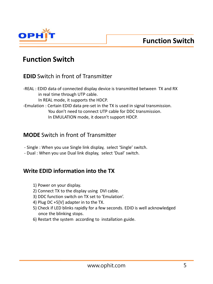

### **Function Switch**

### **EDID** Switch in front of Transmitter

-REAL : EDID data of connected display device is transmitted between TX and RX in real time through UTP cable. In REAL mode, it supports the HDCP. -Emulation : Certain EDID data pre-set in the TX is used in signal transmission. You don't need to connect UTP cable for DDC transmission. In EMULATION mode, it doesn't support HDCP.

### **MODE** Switch in front of Transmitter

- Single : When you use Single link display, select 'Single' switch.
- Dual : When you use Dual link display, select 'Dual' switch.

### **Write EDID information into the TX**

- 1) Power on your display.
- 2) Connect TX to the display using DVI cable.
- 3) DDC function switch on TX set to 'Emulation'.
- 4) Plug DC +5[V] adapter in to the TX.
- 5) Check if LED blinks rapidly for a few seconds. EDID is well acknowledged once the blinking stops.
- 6) Restart the system according to installation guide.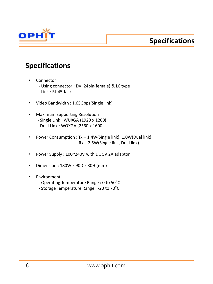



### **Specifications**

- **Connector** 
	- Using connector : DVI 24pin(female) & LC type
	- Link : RJ-45 Jack
- Video Bandwidth : 1.65Gbps(Single link)
- Maximum Supporting Resolution
	- Single Link : WUXGA (1920 x 1200)
	- Dual Link : WQXGA (2560 x 1600)
- Power Consumption : Tx 1.4W(Single link), 1.0W(Dual link) Rx – 2.5W(Single link, Dual link)
- Power Supply : 100~240V with DC 5V 2A adaptor
- Dimension : 180W x 90D x 30H (mm)
- Environment
	- Operating Temperature Range : 0 to 50°C
	- Storage Temperature Range : -20 to 70°C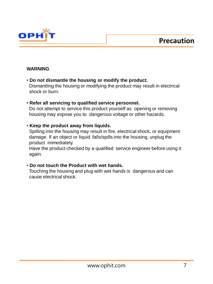

#### **WARNING**

- **Do not dismantle the housing or modify the product.** Dismantling the housing or modifying the product may result in electrical shock or burn.
- **Refer all servicing to qualified service personnel.**

 Do not attempt to service this product yourself as opening or removing housing may expose you to dangerous voltage or other hazards.

#### • **Keep the product away from liquids.**

 Spilling into the housing may result in fire, electrical shock, or equipment damage. If an object or liquid falls/spills into the housing, unplug the product immediately.

 Have the product checked by a qualified service engineer before using it again.

#### • **Do not touch the Product with wet hands.**

 Touching the housing and plug with wet hands is dangerous and can cause electrical shock.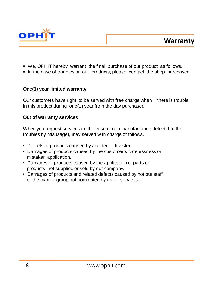



- We, OPHIT hereby warrant the final purchase of our product as follows.
- In the case of troubles on our products, please contact the shop purchased.

#### **One(1) year limited warranty**

Our customers have right to be served with free charge when there is trouble in this product during one(1) year from the day purchased.

#### **Out of warranty services**

When you request services (in the case of non manufacturing defect but the troubles by misusage), may served with charge of follows.

- Defects of products caused by accident , disaster.
- Damages of products caused by the customer's carelessness or mistaken application.
- Damages of products caused by the application of parts or products not supplied or sold by our company.
- Damages of products and related defects caused by not our staff or the man or group not nominated by us for services.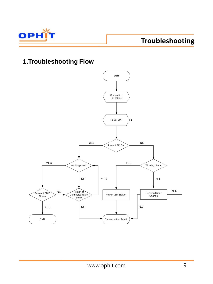

# **Troubleshooting**

### **1.Troubleshooting Flow**

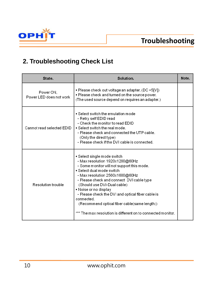

### **2. Troubleshooting Check List**

| State.                               | Solution.                                                                                                                                                                                                                                                                                                                                                                                                                                                          | Note. |
|--------------------------------------|--------------------------------------------------------------------------------------------------------------------------------------------------------------------------------------------------------------------------------------------------------------------------------------------------------------------------------------------------------------------------------------------------------------------------------------------------------------------|-------|
| Power ON,<br>Power LED does not work | ■ Please check out voltage an adapter. (DC +5[V])<br>. Please check and turned on the source power.<br>(The used source depend on requires an adapter.)                                                                                                                                                                                                                                                                                                            |       |
| Cannot read selected EDID            | $\blacksquare$ Select switch the emulation mode<br>- Retry self EDID read<br>- Check the monitor to read EDID<br>$\blacksquare$ Select switch the real mode.<br>- Please check and connected the UTP cable.<br>(Only the direct type)<br>- Please check if the DVI cable is connected.                                                                                                                                                                             |       |
| Resolution trouble                   | ▪ Select single mode switch<br>- Max resolution 1920x1200@60Hz<br>- Some monitor will not support this mode.<br>Select dual mode switch<br>- Max resolution 2560x1600@60Hz<br>- Please check and connect DVI cable type<br>(Should use DVI-Dual cable)<br>• Noise or no display<br>- Please check the DVI and optical fiber cable is<br>connected.<br>(Recommend optical fiber cable(same length))<br>*** The max resolution is different on to connected monitor. |       |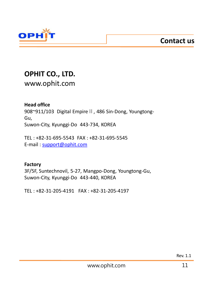**Contact us**



### **OPHIT CO., LTD.**

www.ophit.com

#### **Head office**

908~911/103 Digital Empire Ⅱ, 486 Sin-Dong, Youngtong-Gu, Suwon-City, Kyunggi-Do 443-734, KOREA

TEL : +82-31-695-5543 FAX : +82-31-695-5545 E-mail : [support@ophit.com](mailto:support@ophit.com)

#### **Factory**

3F/5F, Suntechnovil, 5-27, Mangpo-Dong, Youngtong-Gu, Suwon-City, Kyunggi-Do 443-440, KOREA

TEL : +82-31-205-4191 FAX : +82-31-205-4197